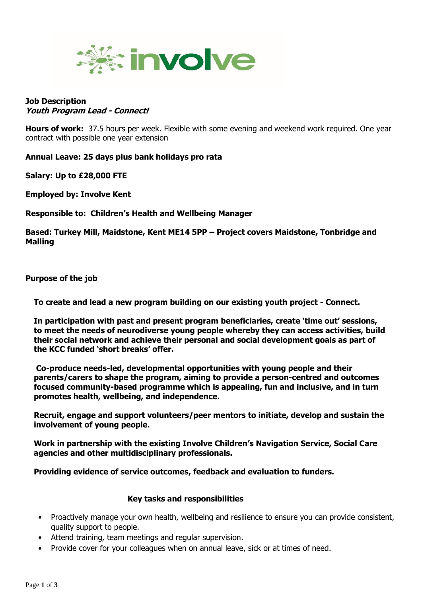

## **Job Description Youth Program Lead - Connect!**

**Hours of work:** 37.5 hours per week. Flexible with some evening and weekend work required. One year contract with possible one year extension

**Annual Leave: 25 days plus bank holidays pro rata**

**Salary: Up to £28,000 FTE**

**Employed by: Involve Kent**

**Responsible to: Children's Health and Wellbeing Manager**

**Based: Turkey Mill, Maidstone, Kent ME14 5PP – Project covers Maidstone, Tonbridge and Malling**

## **Purpose of the job**

**To create and lead a new program building on our existing youth project - Connect.** 

**In participation with past and present program beneficiaries, create 'time out' sessions, to meet the needs of neurodiverse young people whereby they can access activities, build their social network and achieve their personal and social development goals as part of the KCC funded 'short breaks' offer.**

**Co-produce needs-led, developmental opportunities with young people and their parents/carers to shape the program, aiming to provide a person-centred and outcomes focused community-based programme which is appealing, fun and inclusive, and in turn promotes health, wellbeing, and independence.**

**Recruit, engage and support volunteers/peer mentors to initiate, develop and sustain the involvement of young people.** 

**Work in partnership with the existing Involve Children's Navigation Service, Social Care agencies and other multidisciplinary professionals.** 

**Providing evidence of service outcomes, feedback and evaluation to funders.**

## **Key tasks and responsibilities**

- Proactively manage your own health, wellbeing and resilience to ensure you can provide consistent, quality support to people.
- Attend training, team meetings and regular supervision.
- Provide cover for your colleagues when on annual leave, sick or at times of need.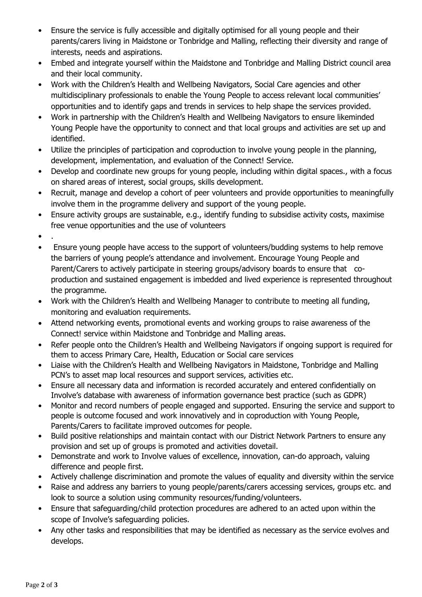- Ensure the service is fully accessible and digitally optimised for all young people and their parents/carers living in Maidstone or Tonbridge and Malling, reflecting their diversity and range of interests, needs and aspirations.
- Embed and integrate yourself within the Maidstone and Tonbridge and Malling District council area and their local community.
- Work with the Children's Health and Wellbeing Navigators, Social Care agencies and other multidisciplinary professionals to enable the Young People to access relevant local communities' opportunities and to identify gaps and trends in services to help shape the services provided.
- Work in partnership with the Children's Health and Wellbeing Navigators to ensure likeminded Young People have the opportunity to connect and that local groups and activities are set up and identified.
- Utilize the principles of participation and coproduction to involve young people in the planning, development, implementation, and evaluation of the Connect! Service.
- Develop and coordinate new groups for young people, including within digital spaces., with a focus on shared areas of interest, social groups, skills development.
- Recruit, manage and develop a cohort of peer volunteers and provide opportunities to meaningfully involve them in the programme delivery and support of the young people.
- Ensure activity groups are sustainable, e.g., identify funding to subsidise activity costs, maximise free venue opportunities and the use of volunteers
- .
- Ensure young people have access to the support of volunteers/budding systems to help remove the barriers of young people's attendance and involvement. Encourage Young People and Parent/Carers to actively participate in steering groups/advisory boards to ensure that coproduction and sustained engagement is imbedded and lived experience is represented throughout the programme.
- Work with the Children's Health and Wellbeing Manager to contribute to meeting all funding, monitoring and evaluation requirements.
- Attend networking events, promotional events and working groups to raise awareness of the Connect! service within Maidstone and Tonbridge and Malling areas.
- Refer people onto the Children's Health and Wellbeing Navigators if ongoing support is required for them to access Primary Care, Health, Education or Social care services
- Liaise with the Children's Health and Wellbeing Navigators in Maidstone, Tonbridge and Malling PCN's to asset map local resources and support services, activities etc.
- Ensure all necessary data and information is recorded accurately and entered confidentially on Involve's database with awareness of information governance best practice (such as GDPR)
- Monitor and record numbers of people engaged and supported. Ensuring the service and support to people is outcome focused and work innovatively and in coproduction with Young People, Parents/Carers to facilitate improved outcomes for people.
- Build positive relationships and maintain contact with our District Network Partners to ensure any provision and set up of groups is promoted and activities dovetail.
- Demonstrate and work to Involve values of excellence, innovation, can-do approach, valuing difference and people first.
- Actively challenge discrimination and promote the values of equality and diversity within the service
- Raise and address any barriers to young people/parents/carers accessing services, groups etc. and look to source a solution using community resources/funding/volunteers.
- Ensure that safeguarding/child protection procedures are adhered to an acted upon within the scope of Involve's safeguarding policies.
- Any other tasks and responsibilities that may be identified as necessary as the service evolves and develops.